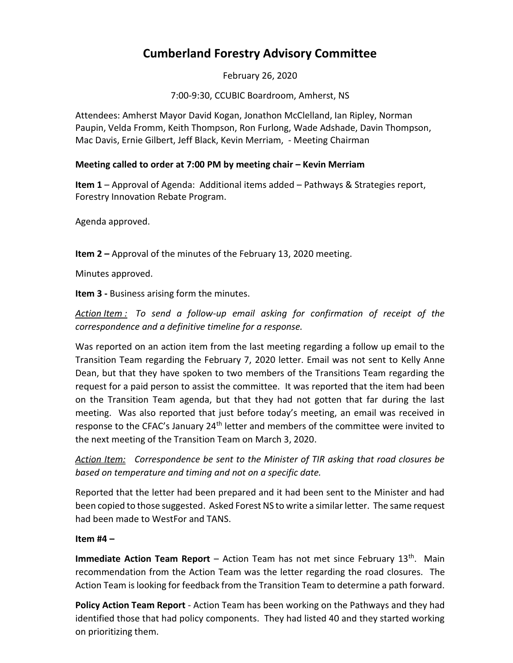# **Cumberland Forestry Advisory Committee**

February 26, 2020

7:00-9:30, CCUBIC Boardroom, Amherst, NS

Attendees: Amherst Mayor David Kogan, Jonathon McClelland, Ian Ripley, Norman Paupin, Velda Fromm, Keith Thompson, Ron Furlong, Wade Adshade, Davin Thompson, Mac Davis, Ernie Gilbert, Jeff Black, Kevin Merriam, - Meeting Chairman

#### **Meeting called to order at 7:00 PM by meeting chair – Kevin Merriam**

**Item 1** – Approval of Agenda: Additional items added – Pathways & Strategies report, Forestry Innovation Rebate Program.

Agenda approved.

**Item 2 –** Approval of the minutes of the February 13, 2020 meeting.

Minutes approved.

**Item 3 -** Business arising form the minutes.

*Action Item : To send a follow-up email asking for confirmation of receipt of the correspondence and a definitive timeline for a response.* 

Was reported on an action item from the last meeting regarding a follow up email to the Transition Team regarding the February 7, 2020 letter. Email was not sent to Kelly Anne Dean, but that they have spoken to two members of the Transitions Team regarding the request for a paid person to assist the committee. It was reported that the item had been on the Transition Team agenda, but that they had not gotten that far during the last meeting. Was also reported that just before today's meeting, an email was received in response to the CFAC's January 24<sup>th</sup> letter and members of the committee were invited to the next meeting of the Transition Team on March 3, 2020.

*Action Item: Correspondence be sent to the Minister of TIR asking that road closures be based on temperature and timing and not on a specific date.*

Reported that the letter had been prepared and it had been sent to the Minister and had been copied to those suggested. Asked Forest NS to write a similar letter. The same request had been made to WestFor and TANS.

#### **Item #4 –**

**Immediate Action Team Report** – Action Team has not met since February 13<sup>th</sup>. Main recommendation from the Action Team was the letter regarding the road closures. The Action Team is looking for feedback from the Transition Team to determine a path forward.

**Policy Action Team Report** - Action Team has been working on the Pathways and they had identified those that had policy components. They had listed 40 and they started working on prioritizing them.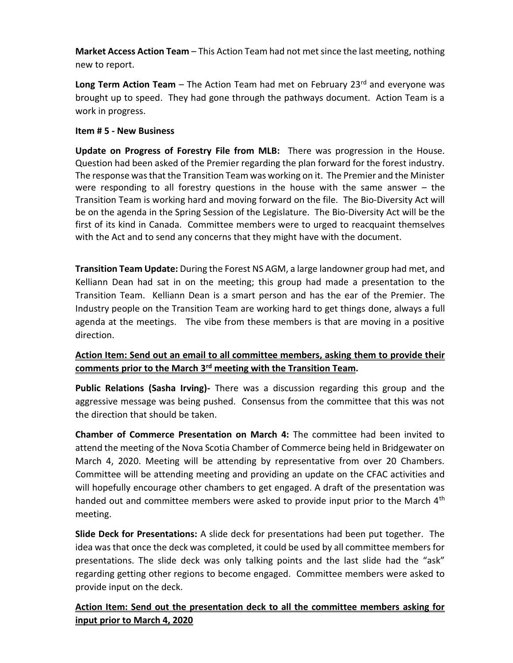**Market Access Action Team** – This Action Team had not met since the last meeting, nothing new to report.

**Long Term Action Team** – The Action Team had met on February 23<sup>rd</sup> and everyone was brought up to speed. They had gone through the pathways document. Action Team is a work in progress.

### **Item # 5 - New Business**

**Update on Progress of Forestry File from MLB:** There was progression in the House. Question had been asked of the Premier regarding the plan forward for the forest industry. The response was that the Transition Team was working on it. The Premier and the Minister were responding to all forestry questions in the house with the same answer – the Transition Team is working hard and moving forward on the file. The Bio-Diversity Act will be on the agenda in the Spring Session of the Legislature. The Bio-Diversity Act will be the first of its kind in Canada. Committee members were to urged to reacquaint themselves with the Act and to send any concerns that they might have with the document.

**Transition Team Update:** During the Forest NS AGM, a large landowner group had met, and Kelliann Dean had sat in on the meeting; this group had made a presentation to the Transition Team. Kelliann Dean is a smart person and has the ear of the Premier. The Industry people on the Transition Team are working hard to get things done, always a full agenda at the meetings. The vibe from these members is that are moving in a positive direction.

## **Action Item: Send out an email to all committee members, asking them to provide their comments prior to the March 3rd meeting with the Transition Team.**

**Public Relations (Sasha Irving)-** There was a discussion regarding this group and the aggressive message was being pushed. Consensus from the committee that this was not the direction that should be taken.

**Chamber of Commerce Presentation on March 4:** The committee had been invited to attend the meeting of the Nova Scotia Chamber of Commerce being held in Bridgewater on March 4, 2020. Meeting will be attending by representative from over 20 Chambers. Committee will be attending meeting and providing an update on the CFAC activities and will hopefully encourage other chambers to get engaged. A draft of the presentation was handed out and committee members were asked to provide input prior to the March  $4<sup>th</sup>$ meeting.

**Slide Deck for Presentations:** A slide deck for presentations had been put together. The idea was that once the deck was completed, it could be used by all committee members for presentations. The slide deck was only talking points and the last slide had the "ask" regarding getting other regions to become engaged. Committee members were asked to provide input on the deck.

**Action Item: Send out the presentation deck to all the committee members asking for input prior to March 4, 2020**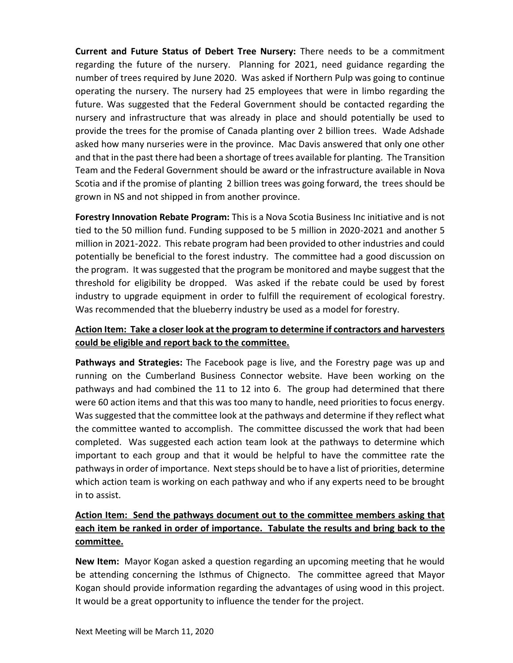**Current and Future Status of Debert Tree Nursery:** There needs to be a commitment regarding the future of the nursery. Planning for 2021, need guidance regarding the number of trees required by June 2020. Was asked if Northern Pulp was going to continue operating the nursery. The nursery had 25 employees that were in limbo regarding the future. Was suggested that the Federal Government should be contacted regarding the nursery and infrastructure that was already in place and should potentially be used to provide the trees for the promise of Canada planting over 2 billion trees. Wade Adshade asked how many nurseries were in the province. Mac Davis answered that only one other and that in the past there had been a shortage of trees available for planting. The Transition Team and the Federal Government should be award or the infrastructure available in Nova Scotia and if the promise of planting 2 billion trees was going forward, the trees should be grown in NS and not shipped in from another province.

**Forestry Innovation Rebate Program:** This is a Nova Scotia Business Inc initiative and is not tied to the 50 million fund. Funding supposed to be 5 million in 2020-2021 and another 5 million in 2021-2022. This rebate program had been provided to other industries and could potentially be beneficial to the forest industry. The committee had a good discussion on the program. It was suggested that the program be monitored and maybe suggest that the threshold for eligibility be dropped. Was asked if the rebate could be used by forest industry to upgrade equipment in order to fulfill the requirement of ecological forestry. Was recommended that the blueberry industry be used as a model for forestry.

## **Action Item: Take a closer look at the program to determine if contractors and harvesters could be eligible and report back to the committee.**

**Pathways and Strategies:** The Facebook page is live, and the Forestry page was up and running on the Cumberland Business Connector website. Have been working on the pathways and had combined the 11 to 12 into 6. The group had determined that there were 60 action items and that this was too many to handle, need priorities to focus energy. Was suggested that the committee look at the pathways and determine if they reflect what the committee wanted to accomplish. The committee discussed the work that had been completed. Was suggested each action team look at the pathways to determine which important to each group and that it would be helpful to have the committee rate the pathways in order of importance. Next steps should be to have a list of priorities, determine which action team is working on each pathway and who if any experts need to be brought in to assist.

## **Action Item: Send the pathways document out to the committee members asking that each item be ranked in order of importance. Tabulate the results and bring back to the committee.**

**New Item:** Mayor Kogan asked a question regarding an upcoming meeting that he would be attending concerning the Isthmus of Chignecto. The committee agreed that Mayor Kogan should provide information regarding the advantages of using wood in this project. It would be a great opportunity to influence the tender for the project.